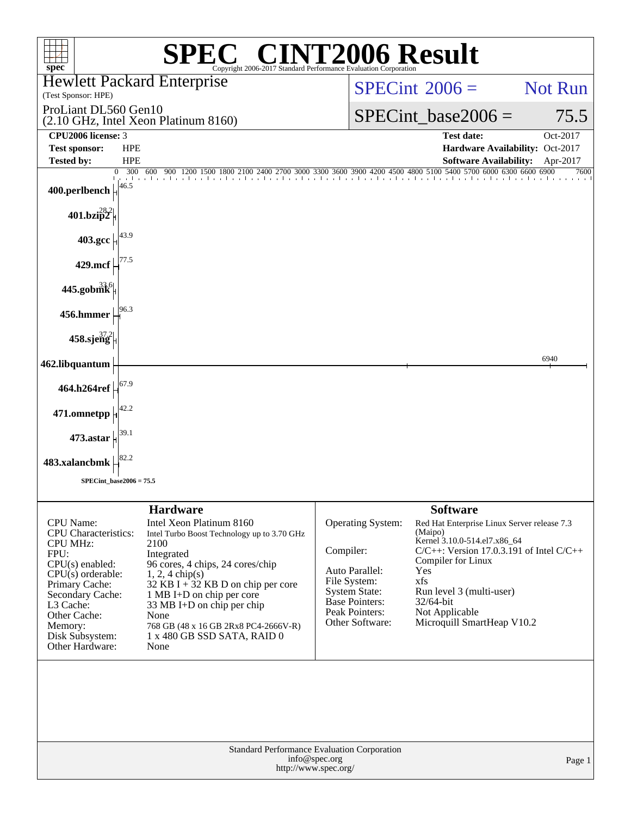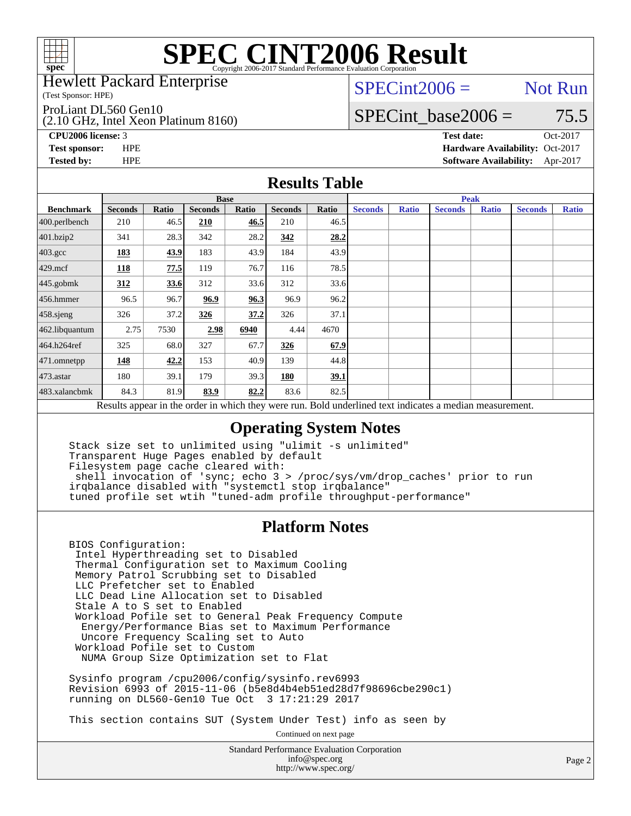

Hewlett Packard Enterprise

(Test Sponsor: HPE)

ProLiant DL560 Gen10

(2.10 GHz, Intel Xeon Platinum 8160)

 $SPECint2006 =$  Not Run

### SPECint base2006 =  $75.5$

**[CPU2006 license:](http://www.spec.org/auto/cpu2006/Docs/result-fields.html#CPU2006license)** 3 **[Test date:](http://www.spec.org/auto/cpu2006/Docs/result-fields.html#Testdate)** Oct-2017 **[Test sponsor:](http://www.spec.org/auto/cpu2006/Docs/result-fields.html#Testsponsor)** HPE **[Hardware Availability:](http://www.spec.org/auto/cpu2006/Docs/result-fields.html#HardwareAvailability)** Oct-2017 **[Tested by:](http://www.spec.org/auto/cpu2006/Docs/result-fields.html#Testedby)** HPE **[Software Availability:](http://www.spec.org/auto/cpu2006/Docs/result-fields.html#SoftwareAvailability)** Apr-2017

#### **[Results Table](http://www.spec.org/auto/cpu2006/Docs/result-fields.html#ResultsTable)**

|                                                                                                          | <b>Base</b>    |              |                |       |                |       | <b>Peak</b>    |              |                |              |                |              |
|----------------------------------------------------------------------------------------------------------|----------------|--------------|----------------|-------|----------------|-------|----------------|--------------|----------------|--------------|----------------|--------------|
| <b>Benchmark</b>                                                                                         | <b>Seconds</b> | <b>Ratio</b> | <b>Seconds</b> | Ratio | <b>Seconds</b> | Ratio | <b>Seconds</b> | <b>Ratio</b> | <b>Seconds</b> | <b>Ratio</b> | <b>Seconds</b> | <b>Ratio</b> |
| 400.perlbench                                                                                            | 210            | 46.5         | 210            | 46.5  | 210            | 46.5  |                |              |                |              |                |              |
| 401.bzip2                                                                                                | 341            | 28.3         | 342            | 28.2  | 342            | 28.2  |                |              |                |              |                |              |
| $403.\text{gcc}$                                                                                         | 183            | 43.9         | 183            | 43.9  | 184            | 43.9  |                |              |                |              |                |              |
| $429$ .mcf                                                                                               | 118            | 77.5         | 119            | 76.7  | 116            | 78.5  |                |              |                |              |                |              |
| $445$ .gobmk                                                                                             | 312            | 33.6         | 312            | 33.6  | 312            | 33.6  |                |              |                |              |                |              |
| $456.$ hmmer                                                                                             | 96.5           | 96.7         | 96.9           | 96.3  | 96.9           | 96.2  |                |              |                |              |                |              |
| $458$ .sjeng                                                                                             | 326            | 37.2         | 326            | 37.2  | 326            | 37.1  |                |              |                |              |                |              |
| 462.libquantum                                                                                           | 2.75           | 7530         | 2.98           | 6940  | 4.44           | 4670  |                |              |                |              |                |              |
| 464.h264ref                                                                                              | 325            | 68.0         | 327            | 67.7  | 326            | 67.9  |                |              |                |              |                |              |
| $471$ .omnetpp                                                                                           | 148            | 42.2         | 153            | 40.9  | 139            | 44.8  |                |              |                |              |                |              |
| $473$ . astar                                                                                            | 180            | 39.1         | 179            | 39.3  | 180            | 39.1  |                |              |                |              |                |              |
| 483.xalancbmk                                                                                            | 84.3           | 81.9         | 83.9           | 82.2  | 83.6           | 82.5  |                |              |                |              |                |              |
| Results appear in the order in which they were run. Bold underlined text indicates a median measurement. |                |              |                |       |                |       |                |              |                |              |                |              |

### **[Operating System Notes](http://www.spec.org/auto/cpu2006/Docs/result-fields.html#OperatingSystemNotes)**

 Stack size set to unlimited using "ulimit -s unlimited" Transparent Huge Pages enabled by default Filesystem page cache cleared with: shell invocation of 'sync; echo 3 > /proc/sys/vm/drop\_caches' prior to run irqbalance disabled with "systemctl stop irqbalance" tuned profile set wtih "tuned-adm profile throughput-performance"

#### **[Platform Notes](http://www.spec.org/auto/cpu2006/Docs/result-fields.html#PlatformNotes)**

 BIOS Configuration: Intel Hyperthreading set to Disabled Thermal Configuration set to Maximum Cooling Memory Patrol Scrubbing set to Disabled LLC Prefetcher set to Enabled LLC Dead Line Allocation set to Disabled Stale A to S set to Enabled Workload Pofile set to General Peak Frequency Compute Energy/Performance Bias set to Maximum Performance Uncore Frequency Scaling set to Auto Workload Pofile set to Custom NUMA Group Size Optimization set to Flat

 Sysinfo program /cpu2006/config/sysinfo.rev6993 Revision 6993 of 2015-11-06 (b5e8d4b4eb51ed28d7f98696cbe290c1) running on DL560-Gen10 Tue Oct 3 17:21:29 2017

This section contains SUT (System Under Test) info as seen by

Continued on next page

Standard Performance Evaluation Corporation [info@spec.org](mailto:info@spec.org) <http://www.spec.org/>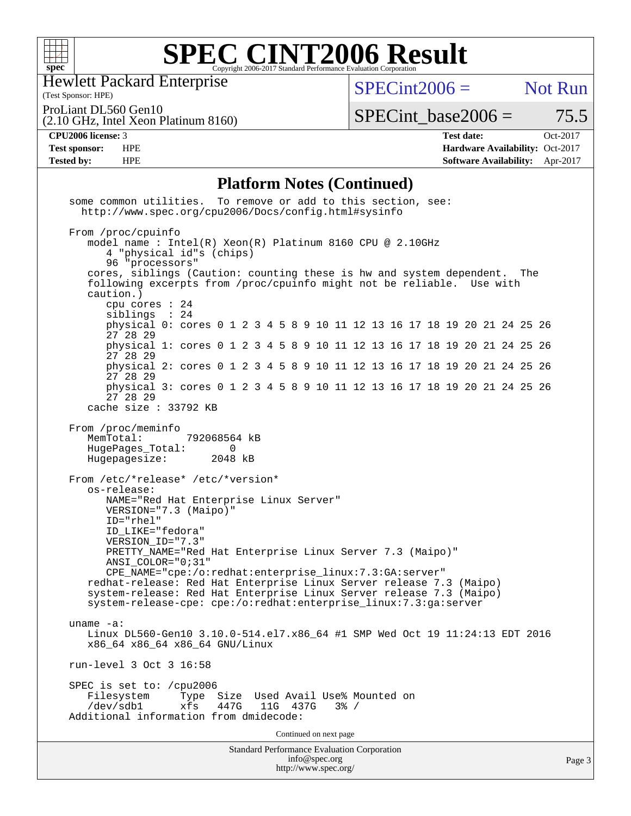

Hewlett Packard Enterprise

 $SPECint2006 =$  Not Run

ProLiant DL560 Gen10

(2.10 GHz, Intel Xeon Platinum 8160)

 $SPECTnt\_base2006 = 75.5$ 

(Test Sponsor: HPE)

**[CPU2006 license:](http://www.spec.org/auto/cpu2006/Docs/result-fields.html#CPU2006license)** 3 **[Test date:](http://www.spec.org/auto/cpu2006/Docs/result-fields.html#Testdate)** Oct-2017 **[Test sponsor:](http://www.spec.org/auto/cpu2006/Docs/result-fields.html#Testsponsor)** HPE **[Hardware Availability:](http://www.spec.org/auto/cpu2006/Docs/result-fields.html#HardwareAvailability)** Oct-2017 **[Tested by:](http://www.spec.org/auto/cpu2006/Docs/result-fields.html#Testedby)** HPE **[Software Availability:](http://www.spec.org/auto/cpu2006/Docs/result-fields.html#SoftwareAvailability)** Apr-2017

#### **[Platform Notes \(Continued\)](http://www.spec.org/auto/cpu2006/Docs/result-fields.html#PlatformNotes)**

Standard Performance Evaluation Corporation [info@spec.org](mailto:info@spec.org) <http://www.spec.org/> some common utilities. To remove or add to this section, see: <http://www.spec.org/cpu2006/Docs/config.html#sysinfo> From /proc/cpuinfo model name : Intel(R) Xeon(R) Platinum 8160 CPU @ 2.10GHz 4 "physical id"s (chips) 96 "processors" cores, siblings (Caution: counting these is hw and system dependent. The following excerpts from /proc/cpuinfo might not be reliable. Use with caution.) cpu cores : 24 siblings : 24 physical 0: cores 0 1 2 3 4 5 8 9 10 11 12 13 16 17 18 19 20 21 24 25 26 27 28 29 physical 1: cores 0 1 2 3 4 5 8 9 10 11 12 13 16 17 18 19 20 21 24 25 26 27 28 29 physical 2: cores 0 1 2 3 4 5 8 9 10 11 12 13 16 17 18 19 20 21 24 25 26 27 28 29 physical 3: cores 0 1 2 3 4 5 8 9 10 11 12 13 16 17 18 19 20 21 24 25 26 27 28 29 cache size : 33792 KB From /proc/meminfo MemTotal: 792068564 kB HugePages\_Total: 0<br>Hugepagesize: 2048 kB Hugepagesize: From /etc/\*release\* /etc/\*version\* os-release: NAME="Red Hat Enterprise Linux Server" VERSION="7.3 (Maipo)" ID="rhel" ID\_LIKE="fedora" VERSION\_ID="7.3" PRETTY NAME="Red Hat Enterprise Linux Server 7.3 (Maipo)" ANSI\_COLOR="0;31" CPE\_NAME="cpe:/o:redhat:enterprise\_linux:7.3:GA:server" redhat-release: Red Hat Enterprise Linux Server release 7.3 (Maipo) system-release: Red Hat Enterprise Linux Server release 7.3 (Maipo) system-release-cpe: cpe:/o:redhat:enterprise\_linux:7.3:ga:server uname -a: Linux DL560-Gen10 3.10.0-514.el7.x86\_64 #1 SMP Wed Oct 19 11:24:13 EDT 2016 x86\_64 x86\_64 x86\_64 GNU/Linux run-level 3 Oct 3 16:58 SPEC is set to: /cpu2006 Filesystem Type Size Used Avail Use% Mounted on<br>
/dev/sdb1 xfs 447G 11G 437G 3% / 11G 437G Additional information from dmidecode: Continued on next page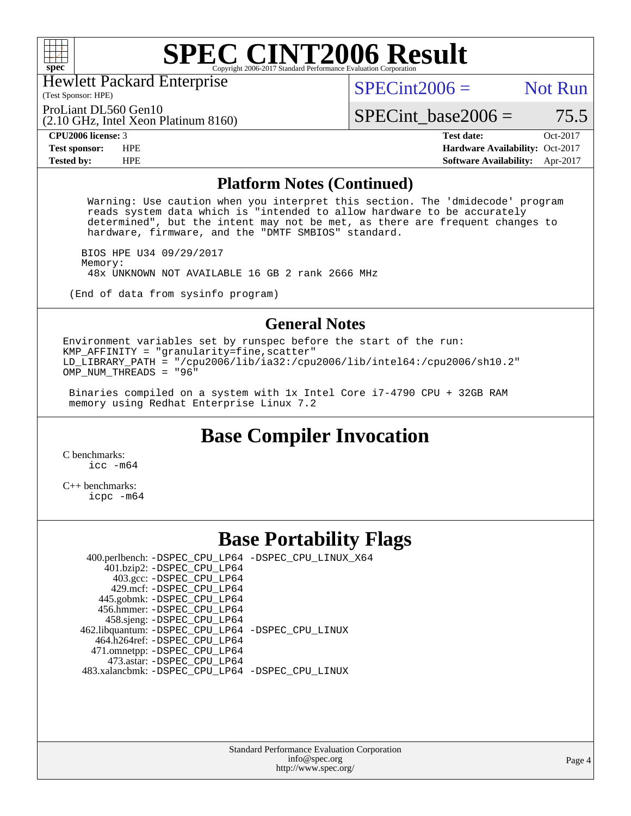

Hewlett Packard Enterprise

(Test Sponsor: HPE)

 $SPECint2006 =$  Not Run

(2.10 GHz, Intel Xeon Platinum 8160) ProLiant DL560 Gen10

SPECint base2006 =  $75.5$ 

**[CPU2006 license:](http://www.spec.org/auto/cpu2006/Docs/result-fields.html#CPU2006license)** 3 **[Test date:](http://www.spec.org/auto/cpu2006/Docs/result-fields.html#Testdate)** Oct-2017 **[Test sponsor:](http://www.spec.org/auto/cpu2006/Docs/result-fields.html#Testsponsor)** HPE **[Hardware Availability:](http://www.spec.org/auto/cpu2006/Docs/result-fields.html#HardwareAvailability)** Oct-2017 **[Tested by:](http://www.spec.org/auto/cpu2006/Docs/result-fields.html#Testedby)** HPE **[Software Availability:](http://www.spec.org/auto/cpu2006/Docs/result-fields.html#SoftwareAvailability)** Apr-2017

#### **[Platform Notes \(Continued\)](http://www.spec.org/auto/cpu2006/Docs/result-fields.html#PlatformNotes)**

 Warning: Use caution when you interpret this section. The 'dmidecode' program reads system data which is "intended to allow hardware to be accurately determined", but the intent may not be met, as there are frequent changes to hardware, firmware, and the "DMTF SMBIOS" standard.

 BIOS HPE U34 09/29/2017 Memory: 48x UNKNOWN NOT AVAILABLE 16 GB 2 rank 2666 MHz

(End of data from sysinfo program)

#### **[General Notes](http://www.spec.org/auto/cpu2006/Docs/result-fields.html#GeneralNotes)**

Environment variables set by runspec before the start of the run:  $KMP_AFFINITY = "granularity=fine, scatter"$ LD\_LIBRARY\_PATH = "/cpu2006/lib/ia32:/cpu2006/lib/intel64:/cpu2006/sh10.2" OMP NUM THREADS = "96"

 Binaries compiled on a system with 1x Intel Core i7-4790 CPU + 32GB RAM memory using Redhat Enterprise Linux 7.2

# **[Base Compiler Invocation](http://www.spec.org/auto/cpu2006/Docs/result-fields.html#BaseCompilerInvocation)**

[C benchmarks](http://www.spec.org/auto/cpu2006/Docs/result-fields.html#Cbenchmarks): [icc -m64](http://www.spec.org/cpu2006/results/res2017q4/cpu2006-20171031-50443.flags.html#user_CCbase_intel_icc_64bit_bda6cc9af1fdbb0edc3795bac97ada53)

[C++ benchmarks:](http://www.spec.org/auto/cpu2006/Docs/result-fields.html#CXXbenchmarks) [icpc -m64](http://www.spec.org/cpu2006/results/res2017q4/cpu2006-20171031-50443.flags.html#user_CXXbase_intel_icpc_64bit_fc66a5337ce925472a5c54ad6a0de310)

### **[Base Portability Flags](http://www.spec.org/auto/cpu2006/Docs/result-fields.html#BasePortabilityFlags)**

 400.perlbench: [-DSPEC\\_CPU\\_LP64](http://www.spec.org/cpu2006/results/res2017q4/cpu2006-20171031-50443.flags.html#b400.perlbench_basePORTABILITY_DSPEC_CPU_LP64) [-DSPEC\\_CPU\\_LINUX\\_X64](http://www.spec.org/cpu2006/results/res2017q4/cpu2006-20171031-50443.flags.html#b400.perlbench_baseCPORTABILITY_DSPEC_CPU_LINUX_X64) 401.bzip2: [-DSPEC\\_CPU\\_LP64](http://www.spec.org/cpu2006/results/res2017q4/cpu2006-20171031-50443.flags.html#suite_basePORTABILITY401_bzip2_DSPEC_CPU_LP64) 403.gcc: [-DSPEC\\_CPU\\_LP64](http://www.spec.org/cpu2006/results/res2017q4/cpu2006-20171031-50443.flags.html#suite_basePORTABILITY403_gcc_DSPEC_CPU_LP64) 429.mcf: [-DSPEC\\_CPU\\_LP64](http://www.spec.org/cpu2006/results/res2017q4/cpu2006-20171031-50443.flags.html#suite_basePORTABILITY429_mcf_DSPEC_CPU_LP64) 445.gobmk: [-DSPEC\\_CPU\\_LP64](http://www.spec.org/cpu2006/results/res2017q4/cpu2006-20171031-50443.flags.html#suite_basePORTABILITY445_gobmk_DSPEC_CPU_LP64) 456.hmmer: [-DSPEC\\_CPU\\_LP64](http://www.spec.org/cpu2006/results/res2017q4/cpu2006-20171031-50443.flags.html#suite_basePORTABILITY456_hmmer_DSPEC_CPU_LP64) 458.sjeng: [-DSPEC\\_CPU\\_LP64](http://www.spec.org/cpu2006/results/res2017q4/cpu2006-20171031-50443.flags.html#suite_basePORTABILITY458_sjeng_DSPEC_CPU_LP64) 462.libquantum: [-DSPEC\\_CPU\\_LP64](http://www.spec.org/cpu2006/results/res2017q4/cpu2006-20171031-50443.flags.html#suite_basePORTABILITY462_libquantum_DSPEC_CPU_LP64) [-DSPEC\\_CPU\\_LINUX](http://www.spec.org/cpu2006/results/res2017q4/cpu2006-20171031-50443.flags.html#b462.libquantum_baseCPORTABILITY_DSPEC_CPU_LINUX) 464.h264ref: [-DSPEC\\_CPU\\_LP64](http://www.spec.org/cpu2006/results/res2017q4/cpu2006-20171031-50443.flags.html#suite_basePORTABILITY464_h264ref_DSPEC_CPU_LP64) 471.omnetpp: [-DSPEC\\_CPU\\_LP64](http://www.spec.org/cpu2006/results/res2017q4/cpu2006-20171031-50443.flags.html#suite_basePORTABILITY471_omnetpp_DSPEC_CPU_LP64) 473.astar: [-DSPEC\\_CPU\\_LP64](http://www.spec.org/cpu2006/results/res2017q4/cpu2006-20171031-50443.flags.html#suite_basePORTABILITY473_astar_DSPEC_CPU_LP64) 483.xalancbmk: [-DSPEC\\_CPU\\_LP64](http://www.spec.org/cpu2006/results/res2017q4/cpu2006-20171031-50443.flags.html#suite_basePORTABILITY483_xalancbmk_DSPEC_CPU_LP64) [-DSPEC\\_CPU\\_LINUX](http://www.spec.org/cpu2006/results/res2017q4/cpu2006-20171031-50443.flags.html#b483.xalancbmk_baseCXXPORTABILITY_DSPEC_CPU_LINUX)

> Standard Performance Evaluation Corporation [info@spec.org](mailto:info@spec.org) <http://www.spec.org/>